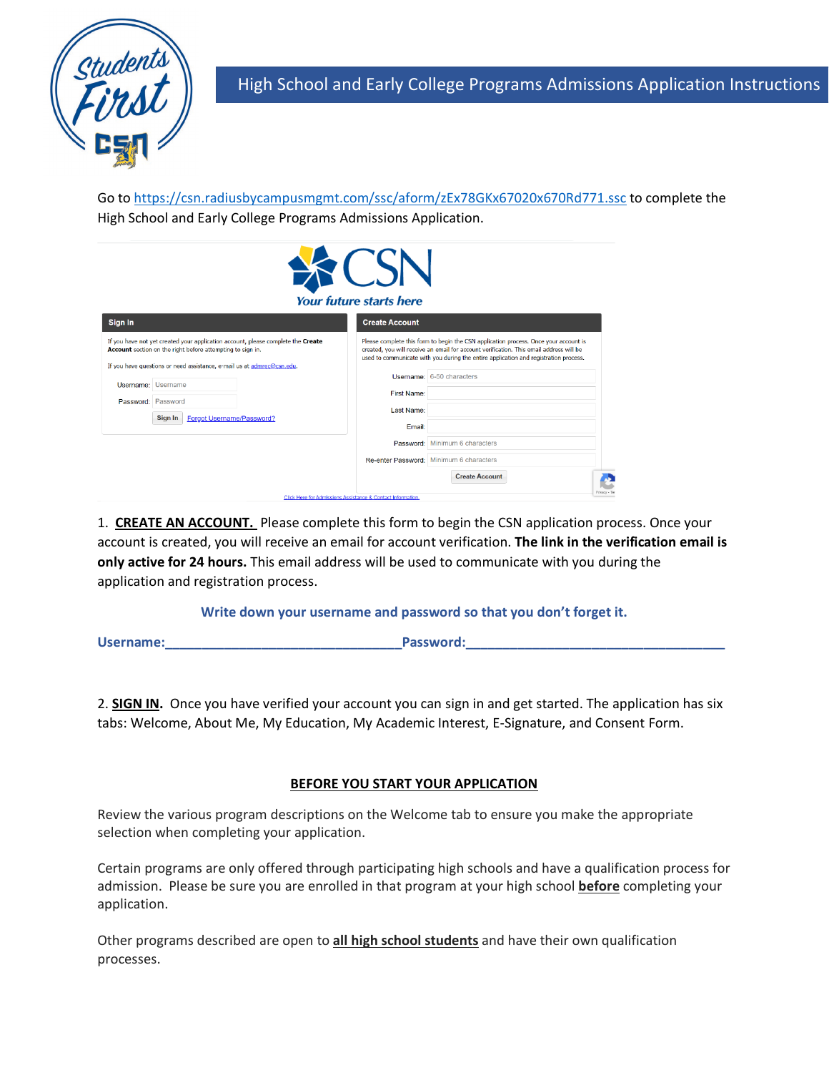

Go to<https://csn.radiusbycampusmgmt.com/ssc/aform/zEx78GKx67020x670Rd771.ssc> to complete the High School and Early College Programs Admissions Application.

| <b>Your future starts here</b>                                                                                                                                                                                           |                                                                                                                                                                                                                                                                         |  |  |  |  |  |  |
|--------------------------------------------------------------------------------------------------------------------------------------------------------------------------------------------------------------------------|-------------------------------------------------------------------------------------------------------------------------------------------------------------------------------------------------------------------------------------------------------------------------|--|--|--|--|--|--|
| Sign In                                                                                                                                                                                                                  | <b>Create Account</b>                                                                                                                                                                                                                                                   |  |  |  |  |  |  |
| If you have not yet created your application account, please complete the Create<br>Account section on the right before attempting to sign in.<br>If you have questions or need assistance, e-mail us at admrec@csn.edu. | Please complete this form to begin the CSN application process. Once your account is<br>created, you will receive an email for account verification. This email address will be<br>used to communicate with you during the entire application and registration process. |  |  |  |  |  |  |
| Username: Username<br>Password: Password                                                                                                                                                                                 | Username: 6-50 characters<br><b>First Name:</b><br>Last Name:                                                                                                                                                                                                           |  |  |  |  |  |  |
| Forgot Username/Password?<br>Sign In                                                                                                                                                                                     | Email:                                                                                                                                                                                                                                                                  |  |  |  |  |  |  |
|                                                                                                                                                                                                                          | Password: Minimum 6 characters                                                                                                                                                                                                                                          |  |  |  |  |  |  |
|                                                                                                                                                                                                                          | Re-enter Password: Minimum 6 characters                                                                                                                                                                                                                                 |  |  |  |  |  |  |
|                                                                                                                                                                                                                          | <b>Create Account</b><br>Privacy - Te<br>Click Here for Admissions Assistance & Contact Information.                                                                                                                                                                    |  |  |  |  |  |  |

1. **CREATE AN ACCOUNT.** Please complete this form to begin the CSN application process. Once your account is created, you will receive an email for account verification. **The link in the verification email is only active for 24 hours.** This email address will be used to communicate with you during the application and registration process.

## **Write down your username and password so that you don't forget it.**

**Username:\_\_\_\_\_\_\_\_\_\_\_\_\_\_\_\_\_\_\_\_\_\_\_\_\_\_\_\_\_\_\_\_Password:\_\_\_\_\_\_\_\_\_\_\_\_\_\_\_\_\_\_\_\_\_\_\_\_\_\_\_\_\_\_\_\_\_\_\_**

2. **SIGN IN.** Once you have verified your account you can sign in and get started. The application has six tabs: Welcome, About Me, My Education, My Academic Interest, E-Signature, and Consent Form.

## **BEFORE YOU START YOUR APPLICATION**

Review the various program descriptions on the Welcome tab to ensure you make the appropriate selection when completing your application.

Certain programs are only offered through participating high schools and have a qualification process for admission. Please be sure you are enrolled in that program at your high school **before** completing your application.

Other programs described are open to **all high school students** and have their own qualification processes.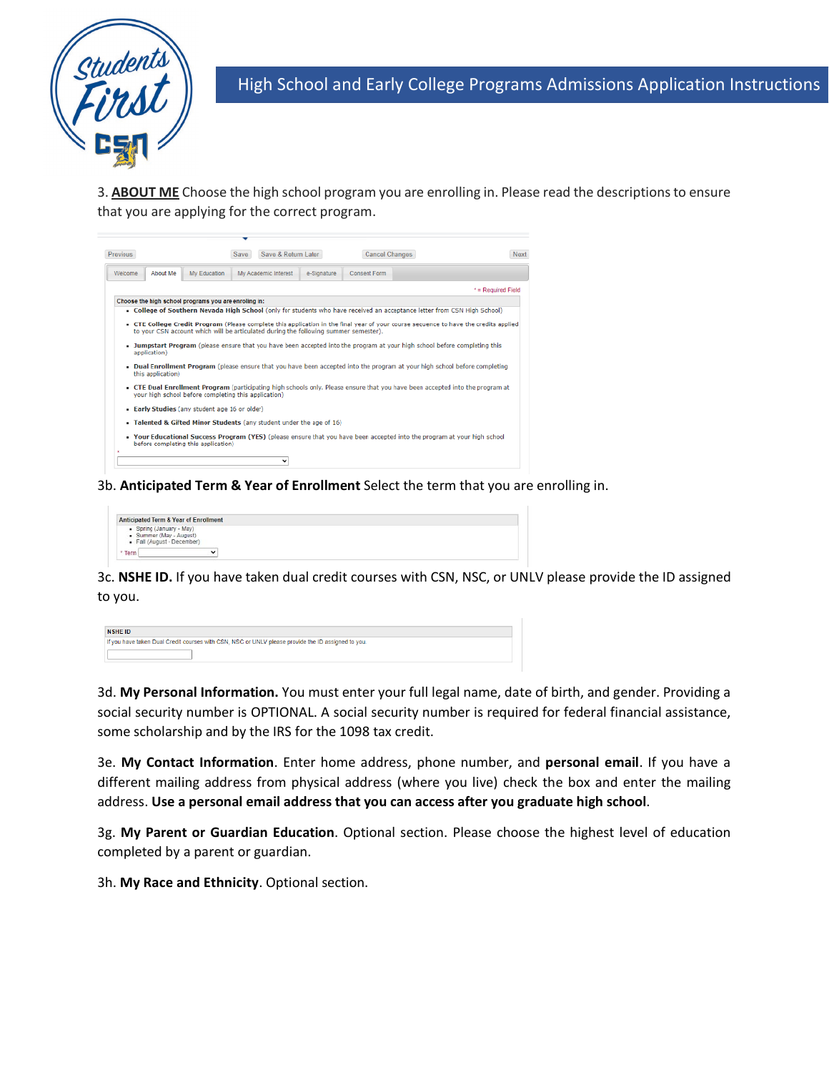

3. **ABOUT ME** Choose the high school program you are enrolling in. Please read the descriptions to ensure that you are applying for the correct program.

| <b>Previous</b> |                   |                                                                                      | <b>Save</b> | Save & Return Later  |             | Cancel Changes | Next                                                                                                                                 |
|-----------------|-------------------|--------------------------------------------------------------------------------------|-------------|----------------------|-------------|----------------|--------------------------------------------------------------------------------------------------------------------------------------|
| Welcome         | About Me          | My Education                                                                         |             | My Academic Interest | e-Signature | Consent Form   |                                                                                                                                      |
|                 |                   |                                                                                      |             |                      |             |                | * = Required Field                                                                                                                   |
|                 |                   | Choose the high school programs you are enroling in:                                 |             |                      |             |                |                                                                                                                                      |
|                 |                   |                                                                                      |             |                      |             |                | College of Southern Nevada High School (only for students who have received an acceptance letter from CSN High School)               |
|                 |                   | to your CSN account which will be articulated during the following summer semester). |             |                      |             |                | . CTE College Credit Program (Please complete this application in the final year of your course sequence to have the credits applied |
|                 | application)      |                                                                                      |             |                      |             |                | Jumpstart Program (please ensure that you have been accepted into the program at your high school before completing this             |
|                 | this application) |                                                                                      |             |                      |             |                | Dual Enrollment Program (please ensure that you have been accepted into the program at your high school before completing            |
|                 |                   | vour high school before completing this application)                                 |             |                      |             |                | - CTE Dual Enrollment Program (participating high schools only. Please ensure that you have been accepted into the program at        |
|                 |                   | • Early Studies (any student age 16 or older)                                        |             |                      |             |                |                                                                                                                                      |
|                 |                   | Talented & Gifted Minor Students (any student under the age of 16)                   |             |                      |             |                |                                                                                                                                      |
|                 |                   | before completing this application)                                                  |             |                      |             |                | <b>• Your Educational Success Program (YES)</b> (please ensure that you have been accepted into the program at your high school      |
|                 |                   |                                                                                      |             |                      |             |                |                                                                                                                                      |

3b. **Anticipated Term & Year of Enrollment** Select the term that you are enrolling in.



3c. **NSHE ID.** If you have taken dual credit courses with CSN, NSC, or UNLV please provide the ID assigned to you.

| NSHE ID                                                                                            |
|----------------------------------------------------------------------------------------------------|
| If you have taken Dual Credit courses with CSN, NSC or UNLV please provide the ID assigned to you. |
|                                                                                                    |

3d. **My Personal Information.** You must enter your full legal name, date of birth, and gender. Providing a social security number is OPTIONAL. A social security number is required for federal financial assistance, some scholarship and by the IRS for the 1098 tax credit.

3e. **My Contact Information**. Enter home address, phone number, and **personal email**. If you have a different mailing address from physical address (where you live) check the box and enter the mailing address. **Use a personal email address that you can access after you graduate high school**.

3g. **My Parent or Guardian Education**. Optional section. Please choose the highest level of education completed by a parent or guardian.

3h. **My Race and Ethnicity**. Optional section.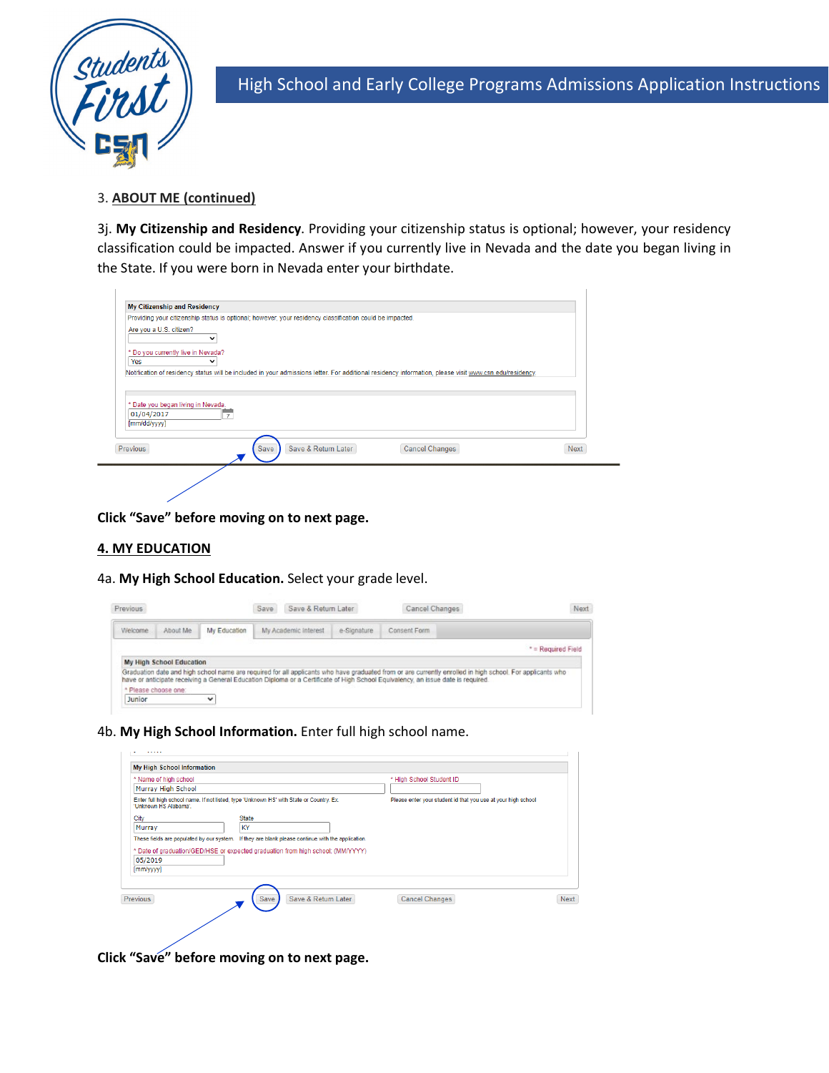

 $\overline{1}$ 

High School and Early College Programs Admissions Application Instructions

## 3. **ABOUT ME (continued)**

3j. **My Citizenship and Residency**. Providing your citizenship status is optional; however, your residency classification could be impacted. Answer if you currently live in Nevada and the date you began living in the State. If you were born in Nevada enter your birthdate.

|                                    | Providing your citizenship status is optional; however, your residency classification could be impacted.                                               |                       |             |
|------------------------------------|--------------------------------------------------------------------------------------------------------------------------------------------------------|-----------------------|-------------|
| Are you a U.S. citizen?            |                                                                                                                                                        |                       |             |
| * Do you currently live in Nevada? |                                                                                                                                                        |                       |             |
| Yes                                |                                                                                                                                                        |                       |             |
|                                    | Notification of residency status will be included in your admissions letter. For additional residency information, please visit www.csn.edu/residency. |                       |             |
|                                    |                                                                                                                                                        |                       |             |
|                                    |                                                                                                                                                        |                       |             |
| * Date you began living in Nevada. |                                                                                                                                                        |                       |             |
| 01/04/2017<br>[mm/dd/yyyy]         |                                                                                                                                                        |                       |             |
|                                    |                                                                                                                                                        |                       |             |
|                                    |                                                                                                                                                        |                       |             |
| <b>Previous</b>                    | Save & Return Later<br>Save                                                                                                                            | <b>Cancel Changes</b> | <b>Next</b> |
|                                    |                                                                                                                                                        |                       |             |
|                                    |                                                                                                                                                        |                       |             |

**Click "Save" before moving on to next page.** 

## **4. MY EDUCATION**

4a. **My High School Education.** Select your grade level.

| Previous             |                          |              | Save & Return Later<br>Save |  |             |                                                                                                                                                                                                                                                                                               |                    | Cancel Changes | Next |
|----------------------|--------------------------|--------------|-----------------------------|--|-------------|-----------------------------------------------------------------------------------------------------------------------------------------------------------------------------------------------------------------------------------------------------------------------------------------------|--------------------|----------------|------|
| Welcome              | About Me                 | My Education | My Academic Interest        |  | e-Signature | Consent Form                                                                                                                                                                                                                                                                                  |                    |                |      |
|                      |                          |              |                             |  |             |                                                                                                                                                                                                                                                                                               | * = Required Field |                |      |
|                      | My High School Education |              |                             |  |             |                                                                                                                                                                                                                                                                                               |                    |                |      |
|                      |                          |              |                             |  |             | Graduation date and high school name are required for all applicants who have graduated from or are currently enrolled in high school. For applicants who<br>have or anticipate receiving a General Education Diploma or a Certificate of High School Equivalency, an issue date is required. |                    |                |      |
| * Please choose one: |                          |              |                             |  |             |                                                                                                                                                                                                                                                                                               |                    |                |      |
| Junior               |                          | $\check{ }$  |                             |  |             |                                                                                                                                                                                                                                                                                               |                    |                |      |

4b. **My High School Information.** Enter full high school name.

| * Name of high school<br>Murray High School |                                                                                                   | * High School Student ID                                      |      |
|---------------------------------------------|---------------------------------------------------------------------------------------------------|---------------------------------------------------------------|------|
|                                             |                                                                                                   |                                                               |      |
| 'Unknown HS Alabama'.                       | Enter full high school name. If not listed, type 'Unknown HS' with State or Country. Ex.          | Please enter your student id that you use at your high school |      |
| City                                        | <b>State</b>                                                                                      |                                                               |      |
| Murray                                      | KY                                                                                                |                                                               |      |
|                                             |                                                                                                   |                                                               |      |
|                                             | These fields are populated by our system. If they are blank please continue with the application. |                                                               |      |
|                                             |                                                                                                   |                                                               |      |
|                                             | * Date of graduation/GED/HSE or expected graduation from high school: (MM/YYYY)                   |                                                               |      |
| 05/2019                                     |                                                                                                   |                                                               |      |
| [mm/yyy]                                    |                                                                                                   |                                                               |      |
|                                             |                                                                                                   |                                                               |      |
|                                             |                                                                                                   |                                                               |      |
| Previous                                    | Save<br>Save & Return Later                                                                       | Cancel Changes                                                | Next |
|                                             |                                                                                                   |                                                               |      |

**Click "Save" before moving on to next page.**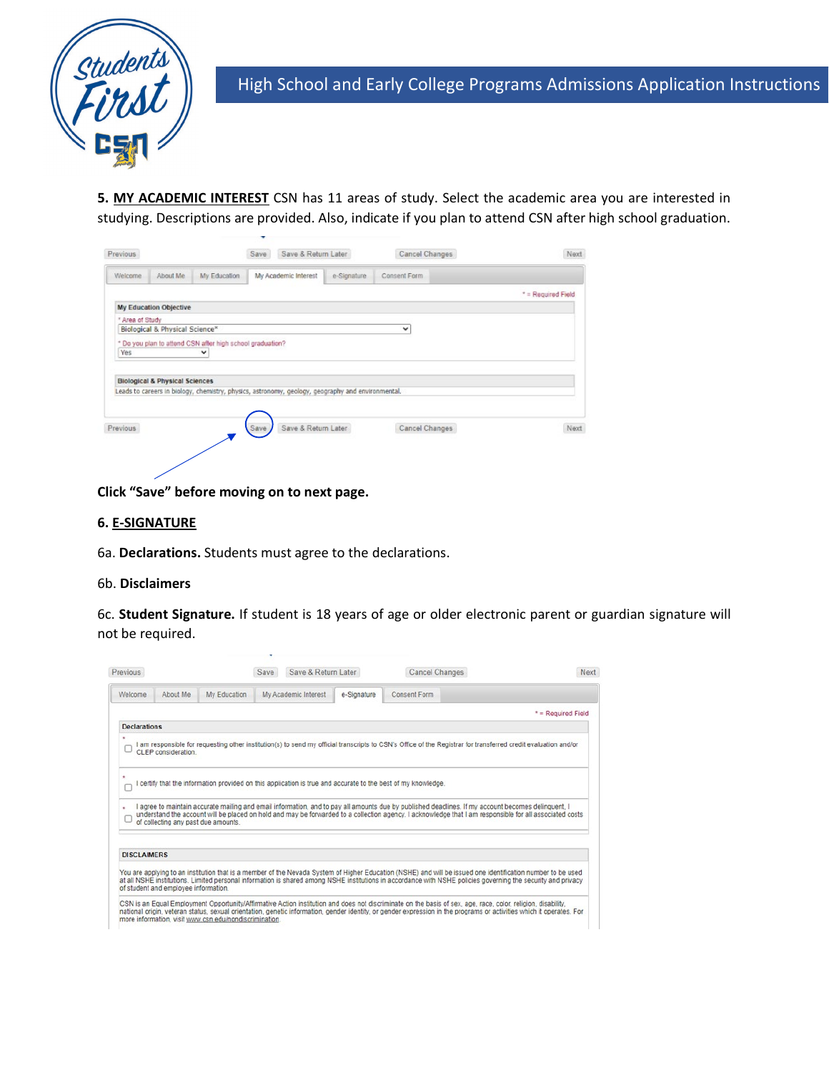

**5. MY ACADEMIC INTEREST** CSN has 11 areas of study. Select the academic area you are interested in studying. Descriptions are provided. Also, indicate if you plan to attend CSN after high school graduation.

|                 |                                           |                                                                                                   | Save | Save & Return Later  |             | Cancel Changes | Next               |
|-----------------|-------------------------------------------|---------------------------------------------------------------------------------------------------|------|----------------------|-------------|----------------|--------------------|
| Welcome         | About Me                                  | My Education                                                                                      |      | My Academic Interest | e-Signature | Consent Form   |                    |
|                 |                                           |                                                                                                   |      |                      |             |                | * = Required Field |
|                 | My Education Objective                    |                                                                                                   |      |                      |             |                |                    |
| * Area of Study |                                           |                                                                                                   |      |                      |             |                |                    |
|                 | Biological & Physical Science*            |                                                                                                   |      |                      |             | ◡              |                    |
|                 |                                           | * Do you plan to attend CSN after high school graduation?                                         |      |                      |             |                |                    |
| Yes             |                                           | v                                                                                                 |      |                      |             |                |                    |
|                 |                                           |                                                                                                   |      |                      |             |                |                    |
|                 |                                           |                                                                                                   |      |                      |             |                |                    |
|                 |                                           |                                                                                                   |      |                      |             |                |                    |
|                 | <b>Biological &amp; Physical Sciences</b> |                                                                                                   |      |                      |             |                |                    |
|                 |                                           | Leads to careers in biology, chemistry, physics, astronomy, geology, geography and environmental. |      |                      |             |                |                    |
|                 |                                           |                                                                                                   |      |                      |             |                |                    |
|                 |                                           |                                                                                                   |      |                      |             |                |                    |
| Previous        |                                           |                                                                                                   | Save | Save & Return Later  |             | Cancel Changes | Next               |

**Click "Save" before moving on to next page.**

#### **6. E-SIGNATURE**

6a. **Declarations.** Students must agree to the declarations.

#### 6b. **Disclaimers**

6c. **Student Signature.** If student is 18 years of age or older electronic parent or guardian signature will not be required.

| Previous            |                                      |                                                        | Save | Save & Return Later  |             | Cancel Changes                                                                                                                                                                                                                                                                                                                       | Next               |
|---------------------|--------------------------------------|--------------------------------------------------------|------|----------------------|-------------|--------------------------------------------------------------------------------------------------------------------------------------------------------------------------------------------------------------------------------------------------------------------------------------------------------------------------------------|--------------------|
| Welcome             | About Me                             | My Education                                           |      | My Academic Interest | e-Signature | Consent Form                                                                                                                                                                                                                                                                                                                         |                    |
|                     |                                      |                                                        |      |                      |             |                                                                                                                                                                                                                                                                                                                                      | * = Required Field |
| <b>Declarations</b> |                                      |                                                        |      |                      |             |                                                                                                                                                                                                                                                                                                                                      |                    |
| $\mathbf{r}$        | CLEP consideration.                  |                                                        |      |                      |             | am responsible for requesting other institution(s) to send my official transcripts to CSN's Office of the Registrar for transferred credit evaluation and/or                                                                                                                                                                         |                    |
|                     |                                      |                                                        |      |                      |             | certify that the information provided on this application is true and accurate to the best of my knowledge.                                                                                                                                                                                                                          |                    |
|                     | of collecting any past due amounts.  |                                                        |      |                      |             | agree to maintain accurate mailing and email information, and to pay all amounts due by published deadlines. If my account becomes delinquent, I<br>understand the account will be placed on hold and may be forwarded to a collection agency. I acknowledge that I am responsible for all associated costs                          |                    |
| <b>DISCLAIMERS</b>  |                                      |                                                        |      |                      |             |                                                                                                                                                                                                                                                                                                                                      |                    |
|                     | of student and employee information. |                                                        |      |                      |             | You are applying to an institution that is a member of the Nevada System of Higher Education (NSHE) and will be issued one identification number to be used<br>at all NSHE institutions. Limited personal information is shared among NSHE institutions in accordance with NSHE policies governing the security and privacy          |                    |
|                     |                                      | more information, visit www.csn.edu/nondiscrimination. |      |                      |             | CSN is an Equal Employment Opportunity/Affirmative Action institution and does not discriminate on the basis of sex, age, race, color, religion, disability,<br>national origin, veteran status, sexual orientation, genetic information, gender identity, or gender expression in the programs or activities which it operates. For |                    |